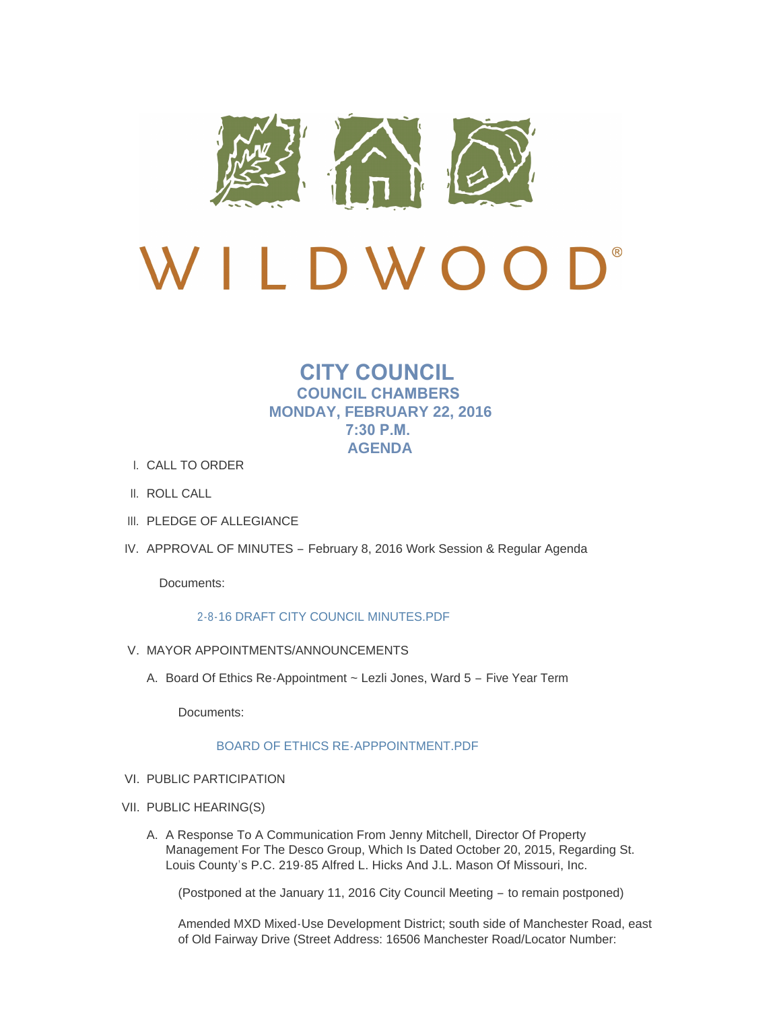

# **CITY COUNCIL COUNCIL CHAMBERS MONDAY, FEBRUARY 22, 2016 7:30 P.M. AGENDA**

- CALL TO ORDER I.
- II. ROLL CALL
- III. PLEDGE OF ALLEGIANCE
- IV. APPROVAL OF MINUTES February 8, 2016 Work Session & Regular Agenda

Documents:

#### [2-8-16 DRAFT CITY COUNCIL MINUTES.PDF](http://cityofwildwood.com/AgendaCenter/ViewFile/Item/12918?fileID=18804)

- V. MAYOR APPOINTMENTS/ANNOUNCEMENTS
	- A. Board Of Ethics Re-Appointment ~ Lezli Jones, Ward 5 Five Year Term

Documents:

# [BOARD OF ETHICS RE-APPPOINTMENT.PDF](http://cityofwildwood.com/AgendaCenter/ViewFile/Item/12920?fileID=18805)

- VI. PUBLIC PARTICIPATION
- VII. PUBLIC HEARING(S)
	- A. A Response To A Communication From Jenny Mitchell, Director Of Property Management For The Desco Group, Which Is Dated October 20, 2015, Regarding St. Louis County's P.C. 219-85 Alfred L. Hicks And J.L. Mason Of Missouri, Inc.

(Postponed at the January 11, 2016 City Council Meeting – to remain postponed)

Amended MXD Mixed-Use Development District; south side of Manchester Road, east of Old Fairway Drive (Street Address: 16506 Manchester Road/Locator Number: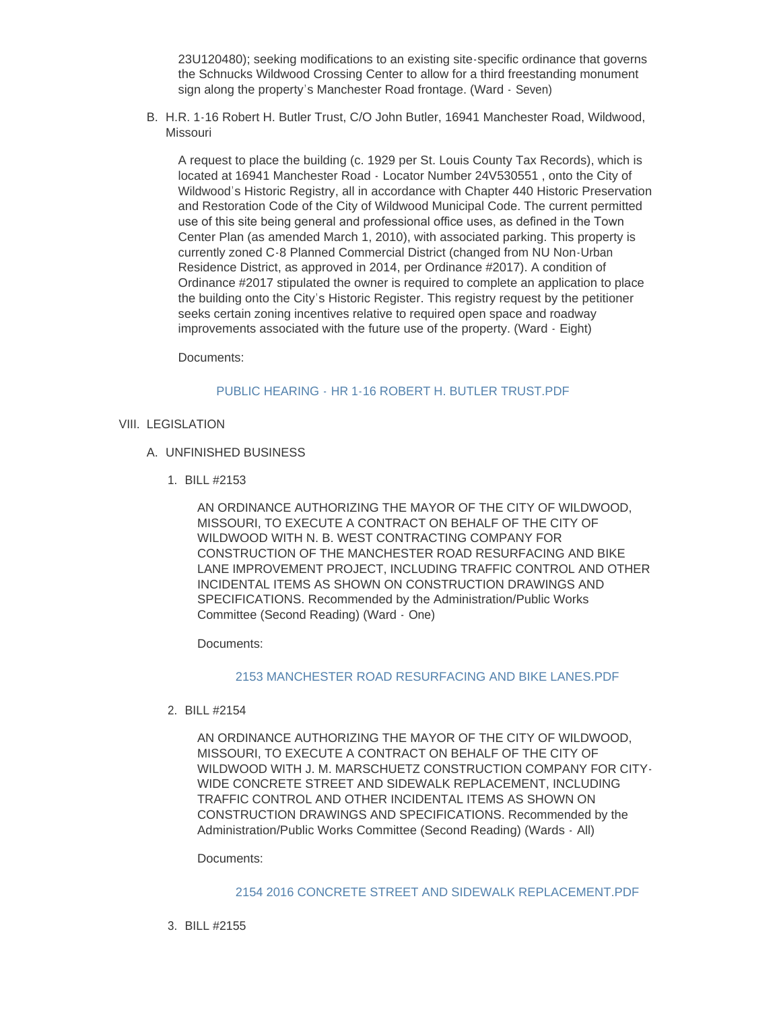23U120480); seeking modifications to an existing site-specific ordinance that governs the Schnucks Wildwood Crossing Center to allow for a third freestanding monument sign along the property's Manchester Road frontage. (Ward - Seven)

B. H.R. 1-16 Robert H. Butler Trust, C/O John Butler, 16941 Manchester Road, Wildwood, Missouri

A request to place the building (c. 1929 per St. Louis County Tax Records), which is located at 16941 Manchester Road - Locator Number 24V530551 , onto the City of Wildwood's Historic Registry, all in accordance with Chapter 440 Historic Preservation and Restoration Code of the City of Wildwood Municipal Code. The current permitted use of this site being general and professional office uses, as defined in the Town Center Plan (as amended March 1, 2010), with associated parking. This property is currently zoned C-8 Planned Commercial District (changed from NU Non-Urban Residence District, as approved in 2014, per Ordinance #2017). A condition of Ordinance #2017 stipulated the owner is required to complete an application to place the building onto the City's Historic Register. This registry request by the petitioner seeks certain zoning incentives relative to required open space and roadway improvements associated with the future use of the property. (Ward - Eight)

Documents:

#### PUBLIC HEARING - [HR 1-16 ROBERT H. BUTLER TRUST.PDF](http://cityofwildwood.com/AgendaCenter/ViewFile/Item/12924?fileID=18806)

#### VIII. LEGISLATION

- UNFINISHED BUSINESS A.
	- BILL #2153 1.

AN ORDINANCE AUTHORIZING THE MAYOR OF THE CITY OF WILDWOOD, MISSOURI, TO EXECUTE A CONTRACT ON BEHALF OF THE CITY OF WILDWOOD WITH N. B. WEST CONTRACTING COMPANY FOR CONSTRUCTION OF THE MANCHESTER ROAD RESURFACING AND BIKE LANE IMPROVEMENT PROJECT, INCLUDING TRAFFIC CONTROL AND OTHER INCIDENTAL ITEMS AS SHOWN ON CONSTRUCTION DRAWINGS AND SPECIFICATIONS. Recommended by the Administration/Public Works Committee (Second Reading) (Ward - One)

Documents:

#### [2153 MANCHESTER ROAD RESURFACING AND BIKE LANES.PDF](http://cityofwildwood.com/AgendaCenter/ViewFile/Item/12927?fileID=18807)

BILL #2154 2.

AN ORDINANCE AUTHORIZING THE MAYOR OF THE CITY OF WILDWOOD, MISSOURI, TO EXECUTE A CONTRACT ON BEHALF OF THE CITY OF WILDWOOD WITH J. M. MARSCHUETZ CONSTRUCTION COMPANY FOR CITY-WIDE CONCRETE STREET AND SIDEWALK REPLACEMENT, INCLUDING TRAFFIC CONTROL AND OTHER INCIDENTAL ITEMS AS SHOWN ON CONSTRUCTION DRAWINGS AND SPECIFICATIONS. Recommended by the Administration/Public Works Committee (Second Reading) (Wards - All)

Documents:

#### [2154 2016 CONCRETE STREET AND SIDEWALK REPLACEMENT.PDF](http://cityofwildwood.com/AgendaCenter/ViewFile/Item/12928?fileID=18808)

BILL #2155 3.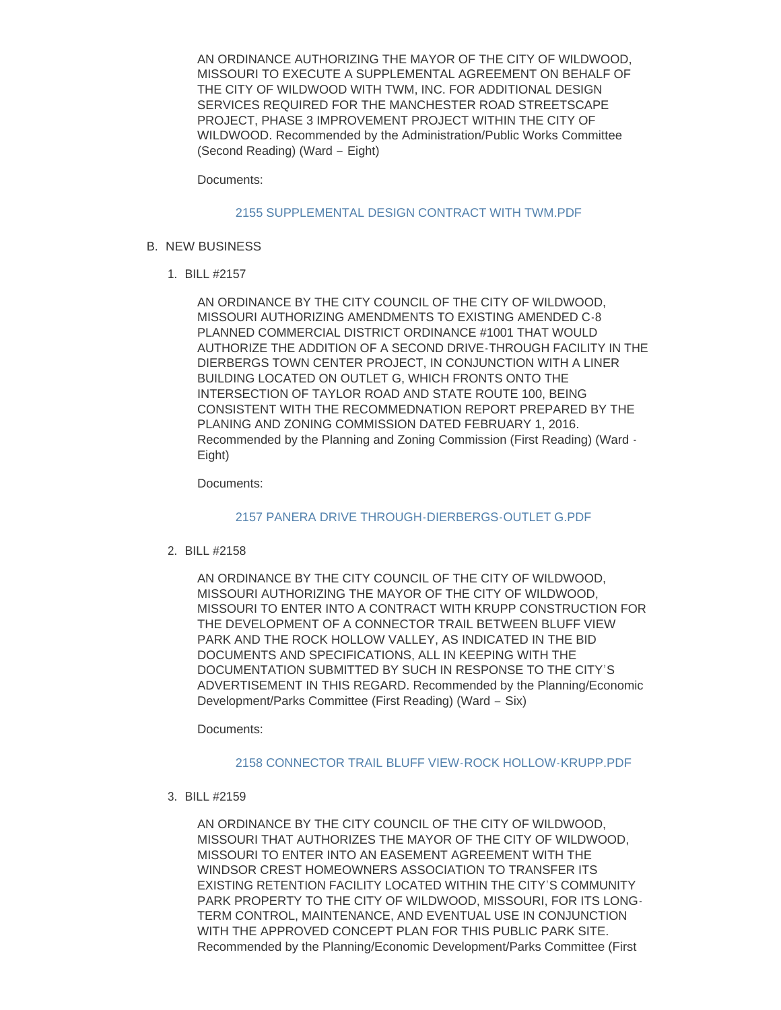AN ORDINANCE AUTHORIZING THE MAYOR OF THE CITY OF WILDWOOD, MISSOURI TO EXECUTE A SUPPLEMENTAL AGREEMENT ON BEHALF OF THE CITY OF WILDWOOD WITH TWM, INC. FOR ADDITIONAL DESIGN SERVICES REQUIRED FOR THE MANCHESTER ROAD STREETSCAPE PROJECT, PHASE 3 IMPROVEMENT PROJECT WITHIN THE CITY OF WILDWOOD. Recommended by the Administration/Public Works Committee (Second Reading) (Ward – Eight)

Documents:

#### [2155 SUPPLEMENTAL DESIGN CONTRACT WITH TWM.PDF](http://cityofwildwood.com/AgendaCenter/ViewFile/Item/12929?fileID=18809)

- **B. NEW BUSINESS** 
	- BILL #2157 1.

AN ORDINANCE BY THE CITY COUNCIL OF THE CITY OF WILDWOOD, MISSOURI AUTHORIZING AMENDMENTS TO EXISTING AMENDED C-8 PLANNED COMMERCIAL DISTRICT ORDINANCE #1001 THAT WOULD AUTHORIZE THE ADDITION OF A SECOND DRIVE-THROUGH FACILITY IN THE DIERBERGS TOWN CENTER PROJECT, IN CONJUNCTION WITH A LINER BUILDING LOCATED ON OUTLET G, WHICH FRONTS ONTO THE INTERSECTION OF TAYLOR ROAD AND STATE ROUTE 100, BEING CONSISTENT WITH THE RECOMMEDNATION REPORT PREPARED BY THE PLANING AND ZONING COMMISSION DATED FEBRUARY 1, 2016. Recommended by the Planning and Zoning Commission (First Reading) (Ward - Eight)

Documents:

[2157 PANERA DRIVE THROUGH-DIERBERGS-OUTLET G.PDF](http://cityofwildwood.com/AgendaCenter/ViewFile/Item/12931?fileID=18810)

BILL #2158 2.

AN ORDINANCE BY THE CITY COUNCIL OF THE CITY OF WILDWOOD, MISSOURI AUTHORIZING THE MAYOR OF THE CITY OF WILDWOOD, MISSOURI TO ENTER INTO A CONTRACT WITH KRUPP CONSTRUCTION FOR THE DEVELOPMENT OF A CONNECTOR TRAIL BETWEEN BLUFF VIEW PARK AND THE ROCK HOLLOW VALLEY, AS INDICATED IN THE BID DOCUMENTS AND SPECIFICATIONS, ALL IN KEEPING WITH THE DOCUMENTATION SUBMITTED BY SUCH IN RESPONSE TO THE CITY'S ADVERTISEMENT IN THIS REGARD. Recommended by the Planning/Economic Development/Parks Committee (First Reading) (Ward – Six)

Documents:

[2158 CONNECTOR TRAIL BLUFF VIEW-ROCK HOLLOW-KRUPP.PDF](http://cityofwildwood.com/AgendaCenter/ViewFile/Item/12932?fileID=18811)

BILL #2159 3.

AN ORDINANCE BY THE CITY COUNCIL OF THE CITY OF WILDWOOD, MISSOURI THAT AUTHORIZES THE MAYOR OF THE CITY OF WILDWOOD, MISSOURI TO ENTER INTO AN EASEMENT AGREEMENT WITH THE WINDSOR CREST HOMEOWNERS ASSOCIATION TO TRANSFER ITS EXISTING RETENTION FACILITY LOCATED WITHIN THE CITY'S COMMUNITY PARK PROPERTY TO THE CITY OF WILDWOOD, MISSOURI, FOR ITS LONG-TERM CONTROL, MAINTENANCE, AND EVENTUAL USE IN CONJUNCTION WITH THE APPROVED CONCEPT PLAN FOR THIS PUBLIC PARK SITE. Recommended by the Planning/Economic Development/Parks Committee (First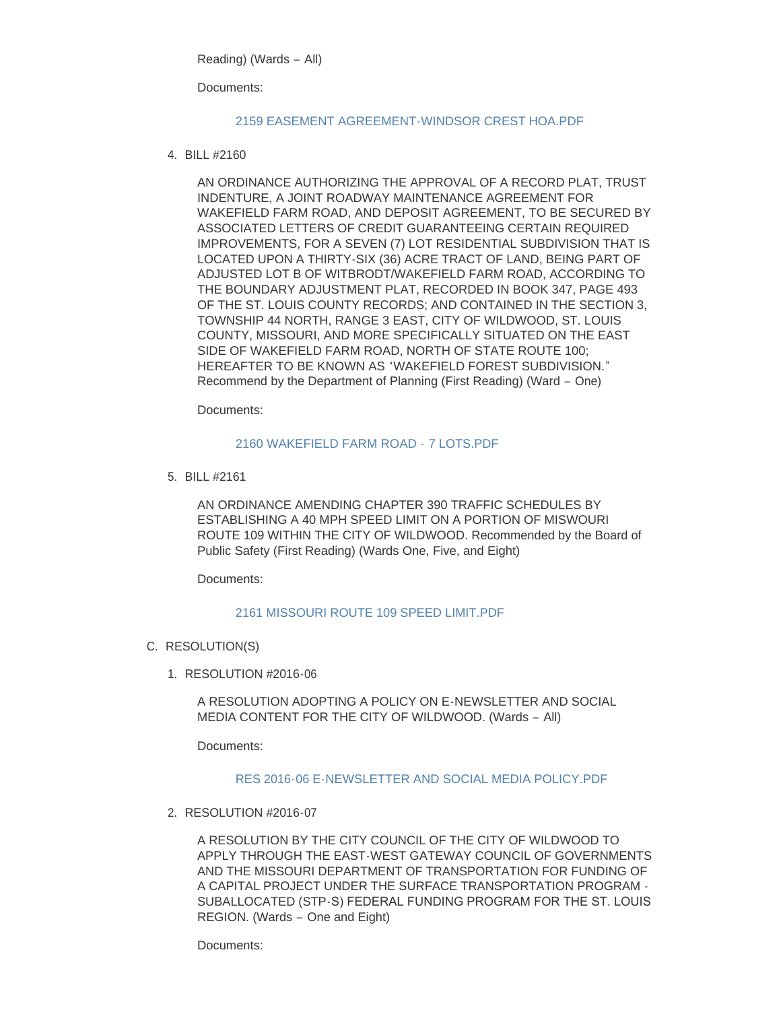Reading) (Wards – All)

Documents:

# [2159 EASEMENT AGREEMENT-WINDSOR CREST HOA.PDF](http://cityofwildwood.com/AgendaCenter/ViewFile/Item/12933?fileID=18812)

BILL #2160 4.

AN ORDINANCE AUTHORIZING THE APPROVAL OF A RECORD PLAT, TRUST INDENTURE, A JOINT ROADWAY MAINTENANCE AGREEMENT FOR WAKEFIELD FARM ROAD, AND DEPOSIT AGREEMENT, TO BE SECURED BY ASSOCIATED LETTERS OF CREDIT GUARANTEEING CERTAIN REQUIRED IMPROVEMENTS, FOR A SEVEN (7) LOT RESIDENTIAL SUBDIVISION THAT IS LOCATED UPON A THIRTY-SIX (36) ACRE TRACT OF LAND, BEING PART OF ADJUSTED LOT B OF WITBRODT/WAKEFIELD FARM ROAD, ACCORDING TO THE BOUNDARY ADJUSTMENT PLAT, RECORDED IN BOOK 347, PAGE 493 OF THE ST. LOUIS COUNTY RECORDS; AND CONTAINED IN THE SECTION 3, TOWNSHIP 44 NORTH, RANGE 3 EAST, CITY OF WILDWOOD, ST. LOUIS COUNTY, MISSOURI, AND MORE SPECIFICALLY SITUATED ON THE EAST SIDE OF WAKEFIELD FARM ROAD, NORTH OF STATE ROUTE 100; HEREAFTER TO BE KNOWN AS "WAKEFIELD FOREST SUBDIVISION." Recommend by the Department of Planning (First Reading) (Ward – One)

Documents:

# [2160 WAKEFIELD FARM ROAD -](http://cityofwildwood.com/AgendaCenter/ViewFile/Item/12934?fileID=18813) 7 LOTS.PDF

BILL #2161 5.

AN ORDINANCE AMENDING CHAPTER 390 TRAFFIC SCHEDULES BY ESTABLISHING A 40 MPH SPEED LIMIT ON A PORTION OF MISWOURI ROUTE 109 WITHIN THE CITY OF WILDWOOD. Recommended by the Board of Public Safety (First Reading) (Wards One, Five, and Eight)

Documents:

# [2161 MISSOURI ROUTE 109 SPEED LIMIT.PDF](http://cityofwildwood.com/AgendaCenter/ViewFile/Item/12935?fileID=18814)

- C. RESOLUTION(S)
	- RESOLUTION #2016-06 1.

A RESOLUTION ADOPTING A POLICY ON E-NEWSLETTER AND SOCIAL MEDIA CONTENT FOR THE CITY OF WILDWOOD. (Wards – All)

Documents:

# [RES 2016-06 E-NEWSLETTER AND SOCIAL MEDIA POLICY.PDF](http://cityofwildwood.com/AgendaCenter/ViewFile/Item/12937?fileID=18815)

RESOLUTION #2016-07 2.

A RESOLUTION BY THE CITY COUNCIL OF THE CITY OF WILDWOOD TO APPLY THROUGH THE EAST-WEST GATEWAY COUNCIL OF GOVERNMENTS AND THE MISSOURI DEPARTMENT OF TRANSPORTATION FOR FUNDING OF A CAPITAL PROJECT UNDER THE SURFACE TRANSPORTATION PROGRAM - SUBALLOCATED (STP-S) FEDERAL FUNDING PROGRAM FOR THE ST. LOUIS REGION. (Wards – One and Eight)

Documents: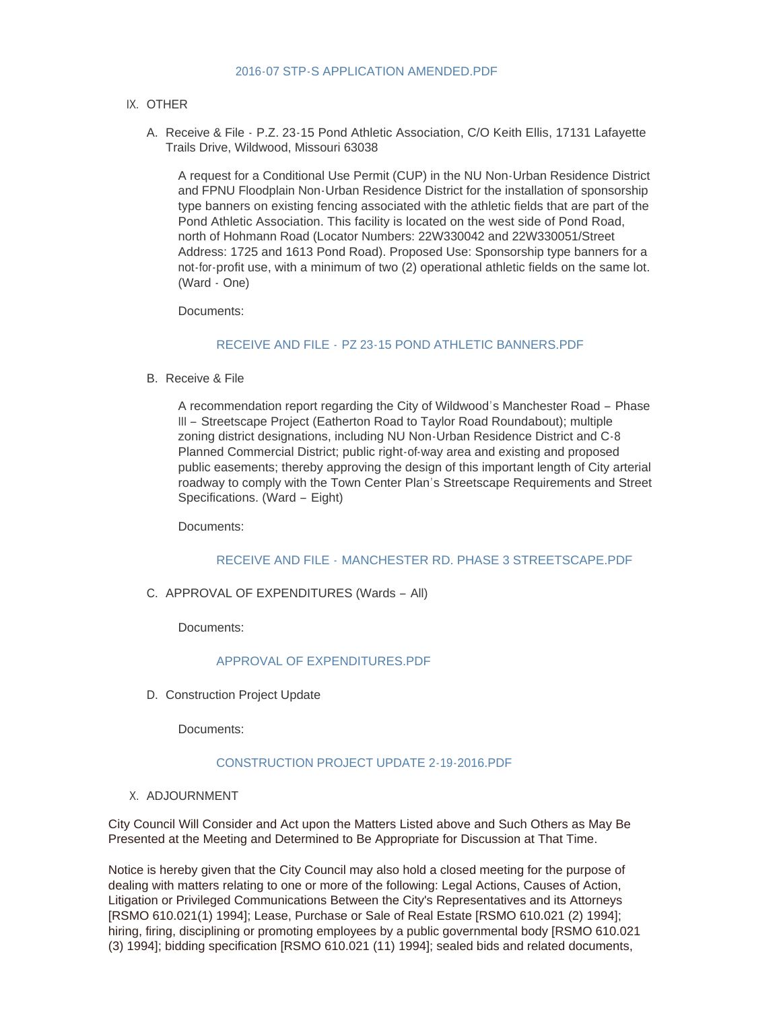#### [2016-07 STP-S APPLICATION AMENDED.PDF](http://cityofwildwood.com/AgendaCenter/ViewFile/Item/12938?fileID=18816)

# IX. OTHER

A. Receive & File - P.Z. 23-15 Pond Athletic Association, C/O Keith Ellis, 17131 Lafayette Trails Drive, Wildwood, Missouri 63038

A request for a Conditional Use Permit (CUP) in the NU Non-Urban Residence District and FPNU Floodplain Non-Urban Residence District for the installation of sponsorship type banners on existing fencing associated with the athletic fields that are part of the Pond Athletic Association. This facility is located on the west side of Pond Road, north of Hohmann Road (Locator Numbers: 22W330042 and 22W330051/Street Address: 1725 and 1613 Pond Road). Proposed Use: Sponsorship type banners for a not-for-profit use, with a minimum of two (2) operational athletic fields on the same lot. (Ward - One)

Documents:

# RECEIVE AND FILE - [PZ 23-15 POND ATHLETIC BANNERS.PDF](http://cityofwildwood.com/AgendaCenter/ViewFile/Item/12940?fileID=18817)

B. Receive & File

A recommendation report regarding the City of Wildwood's Manchester Road – Phase III – Streetscape Project (Eatherton Road to Taylor Road Roundabout); multiple zoning district designations, including NU Non-Urban Residence District and C-8 Planned Commercial District; public right-of-way area and existing and proposed public easements; thereby approving the design of this important length of City arterial roadway to comply with the Town Center Plan's Streetscape Requirements and Street Specifications. (Ward – Eight)

Documents:

#### RECEIVE AND FILE - [MANCHESTER RD. PHASE 3 STREETSCAPE.PDF](http://cityofwildwood.com/AgendaCenter/ViewFile/Item/12941?fileID=18818)

# C. APPROVAL OF EXPENDITURES (Wards - All)

Documents:

# [APPROVAL OF EXPENDITURES.PDF](http://cityofwildwood.com/AgendaCenter/ViewFile/Item/12942?fileID=18819)

D. Construction Project Update

Documents:

#### [CONSTRUCTION PROJECT UPDATE 2-19-2016.PDF](http://cityofwildwood.com/AgendaCenter/ViewFile/Item/12943?fileID=18820)

X. ADJOURNMENT

City Council Will Consider and Act upon the Matters Listed above and Such Others as May Be Presented at the Meeting and Determined to Be Appropriate for Discussion at That Time.

Notice is hereby given that the City Council may also hold a closed meeting for the purpose of dealing with matters relating to one or more of the following: Legal Actions, Causes of Action, Litigation or Privileged Communications Between the City's Representatives and its Attorneys [RSMO 610.021(1) 1994]; Lease, Purchase or Sale of Real Estate [RSMO 610.021 (2) 1994]; hiring, firing, disciplining or promoting employees by a public governmental body [RSMO 610.021 (3) 1994]; bidding specification [RSMO 610.021 (11) 1994]; sealed bids and related documents,